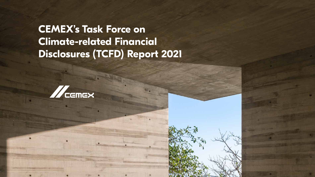**CEMEX's Task Force on Climate-related Financial Disclosures (TCFD) Report 2021**



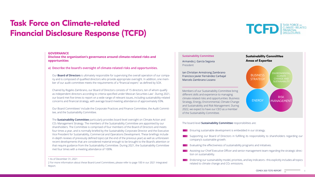# **Task Force on Climate-related Financial Disclosure Response (TCFD)**

### **GOVERNANCE**

**Disclose the organization's governance around climate-related risks and opportunities**

**a) Describe the board's oversight of climate-related risks and opportunities.**

Our **Board of Directors** is ultimately responsible for supervising the overall operation of our company and is composed of qualified directors who provide appropriate oversight. In addition, one member of our audit committee meets the requirements of a "financial expert," as defined by SOX.

Our Board Committees<sup>2</sup> include the Corporate Practices and Finance Committee, the Audit Committee, and the Sustainability Committee.

Chaired by Rogelio Zambrano, our Board of Directors consists of 15 directors, ten of whom qualify as independent directors according to criteria specified under Mexican Securities Law<sup>1</sup>. During 2021, our board met five times to report on a wide range of relevant issues, including sustainability-related concerns and financial strategy, with average board meeting attendance of approximately 93%.



**Supporting our Board of Directors in fulfilling its responsibility to shareholders regarding our** company's sustainable growth.

**EVALUATION Evaluating the effectiveness of sustainability programs and initiatives.** 

The **Sustainability Committee** particularly provides board-level oversight on Climate Action and CO2 Management Strategy. The members of the Sustainability Committee are appointed by our shareholders. The Committee is comprised of four members of the Board of Directors and meets four times a year, and is normally briefed by the Sustainability Corporate Director and the Executive Vice President for Sustainability, Commercial and Operations Development. These briefings include in-depth reviews of previously defined topics (at the end of the previous year) as well as unforeseen recent developments that are considered material enough to be brought to the Board's attention or that require guidance from the Sustainability Committee. During 2021, the Sustainability Committee met four times with a meeting attendance of 100%.

### **Sustainability Committee**

Armando J. García Segovia President

Ian Christian Armstrong Zambrano Francisco Javier Fernández Carbajal Marcelo Zambrano Lozano

of the Sustainability Committee.

### The board-level **Sustainability Committee** responsibilities are:

**EXECUTE:** Ensuring sustainable development is embedded in our strategy.

Assisting our Chief Executive Officer and senior management team regarding the strategic direc-

**EXPLE** Endorsing our sustainability model, priorities, and key indicators– this explicitly includes all topics related to climate change and CO<sub>2</sub> emissions.

- 
- 
- tion on sustainability.
- 



<sup>1</sup> As of December 31, 2021

<sup>2</sup> For more information about these Board-Level Committees, please refer to page 100 in our 2021 Integrated Report.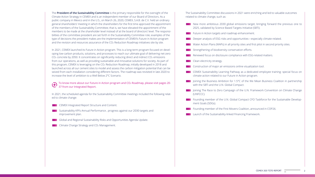The **President of the Sustainability Committee** is the primary responsible for the oversight of the Climate Action Strategy in CEMEX and is an independent member of our Board of Directors. As a public company in Mexico and in the U.S., on March 26, 2020, CEMEX, S.A.B. de C.V. held an ordinary general shareholders' meeting in which the shareholders for the first time approved the appointment of the members of the Sustainability Committee; that is, we have elevated the appointment of the members to be made at the shareholder level instead of at the board of directors' level. The responsibilities of the committee president are set forth in the Sustainability Committee role; examples of the type of decisions the president makes are the implementation of CEMEX's Future in Action program and the revision and resources assurance of the CO<sub>2</sub> Reduction Roadmap initiatives site by site.

- **CEMEX Integrated Report Structure and Content.**
- **Sustainability KPI's Annual Performance, progress against our 2030 targets and** improvement plan.

**Global and Regional Sustainability Risks and Opportunities Agenda Update.** 

**Climate Change Strategy and CO<sub>2</sub> Management.** 

# **Clean electricity strategy.**

New more ambitious 2030 global emissions target, bringing forward the previous one to 2025, validated by Science Based Targets Initiative (SBTi).

**Figure** Future in Action targets and roadmap enhancement.

Deeper analysis of ESG risks and opportunities—especially climate-related.

Water Action Plans (WAPs) in all priority sites and first pilot in second priority sites.

**Strengthening of biodiversity conservation efforts.** 

**Renewed focus on disclosure compliance with ESG-related matters.** 

**Construction of major air emissions online visualization tool.** 

In 2021, CEMEX launched its Future in Action program. This is a long-term program focused on developing low-carbon products, solutions, and processes to reach our ultimate goal of delivering net-zero CO<sub>2</sub> concrete by 2050. It concentrates on significantly reducing direct and indirect CO<sub>2</sub> emissions from our operations, as well as providing sustainable and innovative solutions for society. As part of this program, CEMEX is leveraging on the CO2 Reduction Roadmap, initially developed in 2018 and launched across all our cement sites to model and assess the carbon mitigation potential that can be seized from each installation considering different factors. The roadmap was revisited in late 2020 to increase the level of ambition to a Well Below 2°C Scenario.

**CEMEX Sustainability Learning Pathway as a dedicated employee training: special focus on** climate-action related to our Future in Action program.

Founding member of the U.N. Global Compact CFO Taskforce for the Sustainable Development Goals (SDGs).

**Launch of the Sustainability-linked Financing Framework.** 

To know more about our Future in Action program and CO2 Roadmap, please visit pages 20-  $(F)$ 37 from our Integrated Report.

In 2021, the scheduled agenda for the Sustainability Committee meetings included the following related to climate change:

The Sustainability Committee discussions in 2021 were enriching and led to valuable outcomes related to climate change, such as:

Joining the Business Ambition for 1.5°C of the We Mean Business Coalition in partnership with the SBTi and the U.N. Global Compact.

**The Joining The Race to Zero Campaign of the U.N. Framework Convention on Climate Change** 

Founding member of the First Movers Coalition, announced in COP26.

(UNFCCC).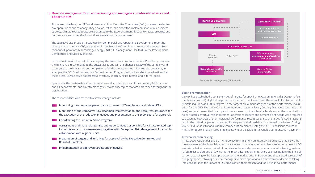

### **b) Describe management's role in assessing and managing climate-related risks and opportunities.**

At the executive level, our CEO and members of our Executive Committee (ExCo) oversee the day-today operation of our company. They develop, refine, and direct the implementation of our business strategy. Climate-related topics are presented to the ExCo on a monthly basis to review progress and performance and to receive instructions if any adjustment is required.

The Executive Vice President Sustainability, Commercial, and Operations Development, reporting directly to the company CEO, is a position in the Executive Committee to oversee the areas of Sustainability, Operations & Technology, Energy, R&D & IP Management, Health & Safety, Procurement, Commercial, and Digital Marketing.

- Monitoring the company's performance in terms of  $CO<sub>2</sub>$  emissions and related KPIs.
- **Monitoring of the company's CO<sub>2</sub> Roadmap implementation and resources assurance for** the execution of the reduction initiatives and presentation to the ExCo/Board for approval.
- Coordinating the Future in Action Program.
- **Assessment of climate-related risks and opportunities (responsible for climate-related top**ics in integrated risk assessment) together with Enterprise Risk Management function in collaboration with regional units.
- **Preparation of targets and initiatives for approval by the Executive Committee and** Board of Directors.

**Implementation of approved targets and initiatives.** 

In coordination with the rest of the company, the areas that constitute this Vice Presidency comprise the functions directly related to the Sustainability and Climate Change strategy of the company and contribute to the integration and completion of all the climate-related initiatives and programs, for example, the CO2 Roadmap and our Future in Action Program. Without excellent coordination of all these areas, CEMEX could not progress effectively in achieving its internal and external goals.

Specifically, the Sustainability function oversees all cross-functions of the company (all business and all departments) and directly manages sustainability topics that are embedded throughout the organization.

> CEMEX has established a consistent set of targets for specific net CO<sub>2</sub> emissions (kg CO<sub>2</sub>/ton of cementitious product) at global, regional, national, and plant levels, and these are linked to our publicly disclosed 2025 and 2030 targets. These targets are a mandatory part of the performance evaluation for the CEO, Executive Committee members (regional level), Country Managers (business unit level) and are transmitted in a top-bottom approach to the following levels across the organization. As part of this effort, all regional cement operations leaders and cement plant heads were required to assign at least 20% of their individual performance results weight to their specific CO<sub>2</sub> emissions result; the individual performance results are part of their variable compensation scheme. During 2022, CEMEX's institutional variable compensation plan will integrate a CO<sub>2</sub> emissions reduction metric for approximately 4,500 employees, who are eligible for a variable compensation payment.

> In late 2020, CEMEX designed a methodology to implement an internal carbon price that allows the measurement of the financial performance in each one of our cement plants, reflecting a cost for CO2 emissions that simulates that all of our sites in the world operate under an emission trading system (ETS) similar to Europe's ETS, which is the most advanced scheme. Every year, we update the price of carbon according to the latest projection on the market price in Europe, and that is used across all of our geographies, allowing our local managers to make operational and investment decisions taking into consideration the impact of CO<sub>2</sub> emissions in their present and future financial performance.

The responsibilities with respect to climate change include:

# **Link to remuneration**

### **Internal Carbon Pricing**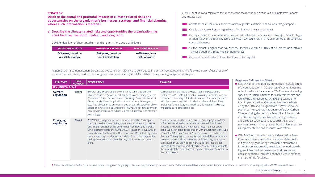### **STRATEGY**

**Disclose the actual and potential impacts of climate-related risks and opportunities on the organization's businesses, strategy, and financial planning where such information is material.**

**a) Describe the climate-related risks and opportunities the organization has identified over the short, medium, and long term.**

CEMEX's definition of short-, medium-, and long-term horizons is as follows<sup>3</sup>:

| <b>SHORT-TERM HORIZON</b> | <b>MEDIUM-TERM HORIZON</b> | <b>LONG-TERM HORIZON</b> |
|---------------------------|----------------------------|--------------------------|
| 0-3 years, based on       | <b>3-6 years, based on</b> | 6-35 years, from         |
| our 2025 strategy         | our 2030 strategy          | 2030 onwards             |

**The Company of the sumber of business units affected, the financial or strategic impact is high**er than 1% over the total expected yearly EBITDA results within a 10-year period or threatens its

**The Communisty Communisty Communisty Communisty Communisty Communisty Communisty Communisty Communisty Communis** 10-year period or threaten its competitiveness.

**The Company of the Separate Secure 2018** Or, as per shareholder or Executive Committee request.

petcoke are impacting our ophe same happens e all fossil fuels, ation is directly

ng System (ETS) d duration of on our operaernments through I the revision of d. The same exercise region; carbon; terms of emiss, and we evaluate tion in Colombia in

CEMEX identifies and calculates the impact of the main risks and defines as a "substantive impact"

**Affects at least 15% of our business units, regardless of their financial or strategic impact.** 

**The Conducts** Constants a whole Region, regardless of its financial or strategic impact.



- - competitiveness.
- 
- 

- CEMEX has set and publicly announced its 2030 target of a 40% reduction in CO2 per ton of cementitious material, for which it developed a CO2 Roadmap including specific reduction initiatives for each cement site and identifying the resources (CAPEX) and calendar for their implementation. Our target has been validated by the SBTi and is aligned with its Well Below 2°C scenario. The roadmap has been verified by Carbon Trust, ensuring the technical feasibility of the considered technologies as well as adequate governance and a robust strategy to reduce emissions. Each region monitors monthly its site-by-site plan to ensure its implementation and resources allocation.
- CEMEX's fourth core business, Urbanization Solutions, also plays a key role in climate-related risks mitigation by generating sustainable alternatives for metropolises growth, providing the market with high-efficient building solutions, and promoting circular economy through enhanced waste management schemes for cities.

| <b>RISK TYPE</b>              | TIME-<br><b>HORIZON</b> | <b>DESCRIPTION</b>                                                                                                                                                                                                                                                                                                                                                                                                                                                                              | <b>EXAMPLE</b>                                                                                                                                                                                                                                                                                                                                                                                                                                                                                                 |
|-------------------------------|-------------------------|-------------------------------------------------------------------------------------------------------------------------------------------------------------------------------------------------------------------------------------------------------------------------------------------------------------------------------------------------------------------------------------------------------------------------------------------------------------------------------------------------|----------------------------------------------------------------------------------------------------------------------------------------------------------------------------------------------------------------------------------------------------------------------------------------------------------------------------------------------------------------------------------------------------------------------------------------------------------------------------------------------------------------|
| <b>TRANSITION RISKS</b>       |                         |                                                                                                                                                                                                                                                                                                                                                                                                                                                                                                 |                                                                                                                                                                                                                                                                                                                                                                                                                                                                                                                |
| <b>Current</b><br>regulation  | <b>Short</b>            | Several CEMEX operations are currently subject to climate<br>change-related legislation, including emissions trading systems<br>(European Union, California) and taxes (e.g., Colombia, Mexico).<br>Given the significant implications that even small changes to<br>e.g., free allocation to our operations or overall scarcity of allow-<br>ances can have, it is paramount for CEMEX to follow closely cur-<br>rent developments and adjust our risk adjustment and strategy<br>accordingly. | Carbon tax on just liquid and gas (coal and p<br>excluded) fossil fuels in Colombia is already<br>erational cost, mainly related to transport. T<br>with the current regulation in Mexico, where<br>excluding Natural Gas, are taxed, so this tax<br>impacting our operational cost.                                                                                                                                                                                                                           |
| <b>Emerging</b><br>regulation | <b>Short</b>            | CEMEX fully supports the implementation of the Paris Agree-<br>ment and collaborates with governments worldwide to define<br>and implement Nationally Determined Contributions (NDCs).<br>On a quarterly basis, the CEMEX "CO <sub>2</sub> Regulation Focus Group",<br>comprised of Public Affairs, Operations, and Sustainability mem-<br>bers in each region, shares the insights from this collaboration<br>with governments and identifies any risk in emerging regula-<br>tions.           | The trial period for the new Emissions Tradi<br>in Mexico has already started with a planned<br>3-years, and it will have a noticeable impact<br>tions. We are in close collaboration with gov<br>CANACEM (Mexican Cement Association) on<br>the new ETS regulation during its trial period<br>cise was done for all countries in our SCA&C<br>tax regulation vs. ETS has been analyzed in t<br>sions and economic impact of each scenario<br>the impact of the potential ETS implementat<br>the next 2-years. |

3 Please note these definitions of short, medium and long-term only apply to this exercise, particularly our assessment of climate-related risks and opportunities, and should not be used for interpreting any other CEMEX co

As part of our risks identification process, we evaluate their relevance to be included in our risk type assessment. The following is a brief description of some of the main short, medium, and long-term risk types faced by CEMEX and their corresponding mitigation strategies:

### **Response / Mitigation Efforts**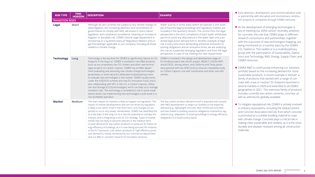| <b>RISK TYPE</b>        | TIME-<br><b>HORIZON</b> | <b>DESCRIPTION</b>                                                                                                                                                                                                                                                                                                                                                                                                                                                                                                                                                                                                                                                                                                                                                                                                                                                                     | <b>EXAMPLE</b>                                                                                                                                                                                                                                                                                                                                                                                                                                                                            |  |  |
|-------------------------|-------------------------|----------------------------------------------------------------------------------------------------------------------------------------------------------------------------------------------------------------------------------------------------------------------------------------------------------------------------------------------------------------------------------------------------------------------------------------------------------------------------------------------------------------------------------------------------------------------------------------------------------------------------------------------------------------------------------------------------------------------------------------------------------------------------------------------------------------------------------------------------------------------------------------|-------------------------------------------------------------------------------------------------------------------------------------------------------------------------------------------------------------------------------------------------------------------------------------------------------------------------------------------------------------------------------------------------------------------------------------------------------------------------------------------|--|--|
| <b>TRANSITION RISKS</b> |                         |                                                                                                                                                                                                                                                                                                                                                                                                                                                                                                                                                                                                                                                                                                                                                                                                                                                                                        |                                                                                                                                                                                                                                                                                                                                                                                                                                                                                           |  |  |
| <b>Legal</b>            | <b>Short</b>            | Although we are currently not subject to any climate change-re-<br>lated litigation, the increasing attention and commitment of<br>governments to comply with NDC will evolve in more robust<br>legislation and compliance surveillance, meaning an increase in<br>litigation or penalties risk. CEMEX Central Legal department is<br>monitoring on a quarterly basis all "Regulatory Matters and Le-<br>gal Proceedings" applicable to our company, including all those<br>related to climate change.                                                                                                                                                                                                                                                                                                                                                                                 | Water scarcity in some areas where we oper<br>ple of how the legal proceedings and regula<br>included in the quarterly revision. The contr<br>perspective is the strict compliance of each<br>permit to avoid any disturbance in the water<br>tential legal action derived from it. Another<br>risk is every time more demanding enhance<br>porting obligations and air emissions limits;<br>this risk as a potential emerging regulation a<br>perspective in case of not meeting the new |  |  |
| <b>Technology</b>       | <b>Long</b>             | Technology is the key lever for CEMEX to significantly reduce its CO2<br>footprint in the long run. CEMEX is involved in new R&D products<br>(such as our proprietary low-CO <sub>2</sub> clinker) and other new technol-<br>ogies projects on Carbon Capture. CEMEX has an R&D depart-<br>ment evaluating and assessing new climate-change technologies<br>(proprietary or external) and a dedicated multidisciplinary team<br>to evaluate new technologies in the market. CEMEX usually works<br>under the H2020 EU scheme and new EU Innovation Fund, and is<br>also collaborating with NPC in the U.S. in Carbon Capture, Utiliza-<br>tion and Storage (CCUS) technologies, which can help us to manage<br>transition risks. The technology is considered a risk in some instal-<br>lations where not implementing new technologies could result in a<br>non-profitable operation. | CEMEX is involved in the design and developm<br>EU-funded projects like LEILAC project, ABSAL<br>and eCOCO <sub>2</sub> , among others, and California and<br>were granted with two DOE funds to execute a<br>on Carbon Capture, one with membranes and<br>amines.                                                                                                                                                                                                                        |  |  |
| <b>Market</b>           | <b>Medium</b>           | The main impact on markets is likely to happen via regulation. The<br>impact of market developments that are not driven by regulation<br>is likely to be rather small in the short term, and changes are ex-<br>pected to occur very slowly. Nonetheless, CEMEX has identified this<br>as a key topic in the long run as it has the potential to reshape the<br>industry and is integrating it into its CO2 strategy. Types of market<br>trends that are likely to become relevant in the medium term<br>include demand for low-carbon products or products for better en-<br>ergy efficiency of buildings, as it is now being pursued, for instance,<br>in the EU Taxonomy. Low carbon products or high-efficiency prod-<br>ucts demand is closely monitored by our commercial department<br>and our R&D in constant research of innovative solutions.                                | The low-carbon product demand trend is asse<br>with R&D development to adapt our facilities t<br>demand (e.g., lightweight concrete, fiber reinfo<br>and also linked to building solutions obligation<br>ulations (e.g., adaptation of existing buildings t<br>obligations in a local/country basis).                                                                                                                                                                                     |  |  |

rate is one examatory matters are included in the legal water withdrawal r layer and a poexample of legal ed emissions-rewe are analyzing and from the legal revised limits.

nent stage of T, CO2OLHEAT, d Texas plants a feasibility study I other one with

essed and crossed to the expected orced concrete) and imposed by regto energy efficiency

- $\blacksquare$  Early detection, development, and commercialization and/ or partnership with disruptive and revolutionary construction projects or companies through CEMEX Ventures.
- $\blacksquare$  As the development of emerging technologies is key to meeting our 2050 carbon neutrality ambition for concrete, the role that CEMEX plays in different research consortiums and partnerships, together with the outcomes of new-technologies mapping, are being monitored on a monthly basis by the CEMEX CO2 Taskforce. This taskforce is a multidisciplinary group with the participation of Sustainability, Operations and Technology, R&D, Energy, Supply Chain, and CEMEX Ventures.
- CEMEX R&D is continuously enhancing our solutions portfolio based on the increasing demand for more sustainable products. A recent example is Vertua®, a family of products that started with a range of concrete with a low or neutral CO2 footprint launched in several markets in 2020 and extended to all CEMEX geographies in 2021. This extensive family of products includes currently low carbon cements, concrete, as well as admixtures globally available.
- To mitigate reputational risk, CEMEX is actively involved in industry associations, including the Global Cement and Concrete Association (GCCA), from which concrete is promoted as a suitable building material to cope with climate change. Concrete plays a critical role in making cities sustainable and resilient, as it is the most durable and disaster-resistant among all construction materials.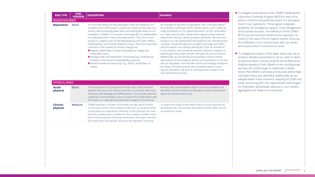| <b>RISK TYPE</b>           | TIME-<br><b>HORIZON</b> | <b>DESCRIPTION</b>                                                                                                                                                                                                                                                                                                                                                                                                                                                                                                                                                                                                                                                                                                                                                                                                  | <b>EXAMPLE</b>                                                                                                                                                                                                                                                                                                                                                                                                                                                                                                                                                                                                                                                                                                                                                                                              |
|----------------------------|-------------------------|---------------------------------------------------------------------------------------------------------------------------------------------------------------------------------------------------------------------------------------------------------------------------------------------------------------------------------------------------------------------------------------------------------------------------------------------------------------------------------------------------------------------------------------------------------------------------------------------------------------------------------------------------------------------------------------------------------------------------------------------------------------------------------------------------------------------|-------------------------------------------------------------------------------------------------------------------------------------------------------------------------------------------------------------------------------------------------------------------------------------------------------------------------------------------------------------------------------------------------------------------------------------------------------------------------------------------------------------------------------------------------------------------------------------------------------------------------------------------------------------------------------------------------------------------------------------------------------------------------------------------------------------|
| <b>TRANSITION RISKS</b>    |                         |                                                                                                                                                                                                                                                                                                                                                                                                                                                                                                                                                                                                                                                                                                                                                                                                                     |                                                                                                                                                                                                                                                                                                                                                                                                                                                                                                                                                                                                                                                                                                                                                                                                             |
| <b>Reputation</b>          | <b>Short</b>            | For the time being, the key reputation risks are related to our<br>investors, but in the future, it cannot be ruled out that also cus-<br>tomers will increasingly base their purchasing decisions on our<br>reputation. CEMEX is in constant exchange with its stakeholders<br>to understand their views and expectations. This risk is moni-<br>tored on a regular and coordinated basis by the Public Affairs,<br>Sustainability, and Investor Relations areas. The most important<br>channels in the context of climate change are:<br>Regular stakeholder surveys evaluating our image and<br>materiality matrix.<br>Dialogue with the investment community (e.g., institutional<br>investors, financial and sustainability analysts).<br>Review of external reports by, e.g., NGOs, authorities, or<br>media. | An example of this kind of reputation risk is "t<br>the markets could have of the cement sector,<br>a big contributor to CO <sub>2</sub> global emissions, so<br>our sales (risk) but also create some opportui<br>extend the new low carbon products portfolio<br>toring in our risk assessment this potential ris<br>customer needs through the constant exchar<br>and this allows us to quickly identify this "lack<br>in our product and constantly monitor the pr<br>lated to give the proper answer and take the<br>Additionally, we are actively participating in th<br>associations of the locations where we are pr<br>discuss reputation risk and take actions accor<br>to media). All these sources are considered w<br>ing the reputation risk and its consequences<br>risk-assessment process. |
| <b>PHYSICAL RISKS</b>      |                         |                                                                                                                                                                                                                                                                                                                                                                                                                                                                                                                                                                                                                                                                                                                                                                                                                     |                                                                                                                                                                                                                                                                                                                                                                                                                                                                                                                                                                                                                                                                                                                                                                                                             |
| <b>Acute</b><br>physical   | <b>Short</b>            | The assessment of acute physical climate risks, mainly extreme<br>weather events such as tropical cyclones, is a constant task in our<br>Enterprise Risk Management (ERM) system. This includes both the<br>updating of local emergency plans as well as the collaboration with<br>the insurer to understand the potential changes in insured risks.                                                                                                                                                                                                                                                                                                                                                                                                                                                                | All areas with natural-disaster high occurrence p<br>identified, and the impacts are assessed in term<br>losses and reconstruction cost.                                                                                                                                                                                                                                                                                                                                                                                                                                                                                                                                                                                                                                                                    |
| <b>Chronic</b><br>physical | <b>Medium</b>           | CEMEX operates a number of terminals and also plants directly<br>on the coast, where chronic physical risks such as rising sea levels<br>could impact our operations continuity, so this physical risk could<br>become a medium-term problem for the company. Another exam-<br>ple of chronic physical risk being monitored is the water scarcity in<br>the areas where we operate, to ensure the operation continuity.                                                                                                                                                                                                                                                                                                                                                                                             | To assess the impact of the water scarcity chror<br>we evaluate the cost increase associated to oth<br>or production losses.                                                                                                                                                                                                                                                                                                                                                                                                                                                                                                                                                                                                                                                                                |

the perception" as it is seen as this could affect inities (need to io). We are moniisk, identifying the nge with them, of confidence" ress releases recorrect actions. hose cement resent, so we also rdingly (response vhen includin sales in the

probability are ns of production

nic physical risk, ner water sources

- To mitigate acute physical risks, CEMEX implemented a Business Continuity Program (BCP) for each of its sites to minimize the potential impact of a disruptive event in our operations. This program integrates guidelines for emergency support, crisis management, and business recovery. The definition of the CEMEX BCPs ensures business resilience and operation recovery in the case of force-majeure events, ensuring the fulfillment of our commitments with our clients and a quick return to business as usual.
- To mitigate the impact of the water stress risk, we executed a detailed assessment in all our sites to identify potential water scarcity using the World Resources Institute Aqueduct tools. Based on the resulting map, we have set a 2030 target to implement a Water Action Plan (WAP) in all those priority sites where highrisk water stress was identified. Additionally, we developed water stress scenarios mapping for 2030 and 2040, and during 2021 we implemented 2030 targets for freshwater withdrawals reduction in our cement, aggregates and ready-mix businesses.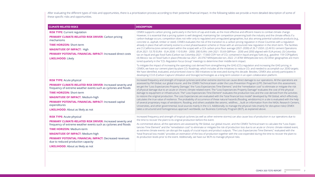After evaluating the different types of risks and opportunities, there is a prioritization process according to their potential financial impact. In the following tables we provide a more detailed description of some of these specific risks and opportunities.

| <b>CLIMATE-RELATED RISKS</b>                                                                                                                                                                                                                                                                                                                                                                          | <b>DESCRIPTION</b>                                                                                                                                                                                                                                                                                                                                                                                                                                                                                                                                                                                                                                                                                                                                                                                                                                                                                                                                                                                                                                                                                                            |
|-------------------------------------------------------------------------------------------------------------------------------------------------------------------------------------------------------------------------------------------------------------------------------------------------------------------------------------------------------------------------------------------------------|-------------------------------------------------------------------------------------------------------------------------------------------------------------------------------------------------------------------------------------------------------------------------------------------------------------------------------------------------------------------------------------------------------------------------------------------------------------------------------------------------------------------------------------------------------------------------------------------------------------------------------------------------------------------------------------------------------------------------------------------------------------------------------------------------------------------------------------------------------------------------------------------------------------------------------------------------------------------------------------------------------------------------------------------------------------------------------------------------------------------------------|
| <b>RISK TYPE:</b> Current regulation<br><b>PRIMARY CLIMATE-RELATED RISK DRIVER: Carbon pricing</b><br>mechanisms<br><b>TIME HORIZON: Short-term</b><br><b>MAGNITUDE OF IMPACT: High</b><br><b>PRIMARY POTENTIAL FINANCIAL IMPACT: Increased direct costs</b><br><b>LIKELIHOOD: Likely</b>                                                                                                             | CEMEX supports carbon pricing, particularly in the form of cap-and-trade<br>However, it is essential that a pricing system is well designed, maintainin<br>carbon-leakage occurs; competition does not refer only to regulated and<br>concrete vs. asphalt, timber or steel). CEMEX evaluates the risk of the tra<br>already in place that will certainly evolve to a next phase/taxation schem<br>are (1) California (one cement plant within the scope) with a CCA carbon<br>(EUA 2021: 53.70 EUR/t - EUA 2030: 110 EUR/t - 2050: 200 EUR/t; UKA 2<br>tax on liquid and gas fossil fuels (Carbon tax Colombia 2021: 17,660 COF<br>(4) Mexico: tax on fossil fuels in place (Petcoke tax 2021: 20.3767 MXN/p<br>tored quarterly in the "CO <sub>2</sub> Regulation focus Group" meetings to determi<br>To mitigate the impact of increasing the operating cost derived from stre<br>CEMEX, we have our cement plant-by-plant CO <sub>2</sub> Roadmap, which include<br>We have identified, evaluated, and prioritized close to 300 initiatives to b<br>developing CCUS (Carbon Capture Utilization and Storage) technologies |
| <b>RISK TYPE: Acute physical</b><br>PRIMARY CLIMATE-RELATED RISK DRIVER: Increased severity and<br>frequency of extreme weather events such as cyclones and floods<br><b>TIME HORIZON: Short-term</b><br><b>MAGNITUDE OF IMPACT.</b> Medium-high<br><b>PRIMARY POTENTIAL FINANCIAL IMPACT: Increased capital</b><br>expenditures<br><b>LIKELIHOOD:</b> About as likely as not                         | Increased frequency and strength of tropical cyclones (and other extrem<br>assessed by FM Global, our global insurer, and the CEMEX Technical tear<br>we get the "Loss Expectancies-Property Damage," the "Loss Expectancies<br>of physical damage due to an acute or chronic climate-related event. The<br>damage to equipment or infrastructure. The" Loss Expectancies-Time Ele<br>to restore the original production. The Loss Expectancies are evaluated<br>calculates the true value of resilience. The probability of occurrence of th<br>of several proprietary maps of windstorm, flooding, and others available<br>Universities, and other governmental, local sources mainly in the U.S. Ad<br>takes a structured and homogeneous approach worldwide, our Business                                                                                                                                                                                                                                                                                                                                                 |
| <b>RISK TYPE: Acute physical</b><br>PRIMARY CLIMATE-RELATED RISK DRIVER: Increased severity and<br>frequency of extreme weather events such as cyclones and floods<br><b>TIME HORIZON: Medium-term</b><br><b>MAGNITUDE OF IMPACT: Medium-high</b><br><b>PRIMARY POTENTIAL FINANCIAL IMPACT: Decreased revenues</b><br>due to reduced production capacity<br><b>LIKELIHOOD:</b> About as likely as not | Increased frequency and strength of tropical cyclones (as well as other e<br>the time to recover the plant to its original production before the event.<br>As commented above, all the operations are assessed by FM Global, our<br>tancies-Time Element" and the "remediation cost" to eliminate or mitigat<br>as extreme climate events can disrupt the supply of crucial inputs and po<br>"total financial loss model," provides an estimation of the loss of product<br>its production levels prior to the event. Additionally, we have our BCPs to                                                                                                                                                                                                                                                                                                                                                                                                                                                                                                                                                                       |

d-trade, as the most effective and efficient means to combat climate change. htaining fair competition preserving both the industry and the climate effects if a ted and unregulated geographies, but also among potential substitute products (e.g., the transition to a carbon pricing regulation in those Countries with a regulation scheme or those with an announced new regulation in the short-term. The facilities carbon price floor average (2021-2030) of 26.7 USD/t. (2) All EU cement Operations ; UKA 2021: 55.69 GBP/ton - 2030 and 2050 aligned with EUA prices). (3) Colombia: 60 COP/ ton of CO<sub>2</sub> contained in liquid and gas fuels (e.g., gasoline: 159 COP/ gallon). MXN/petcoke ton; 2022: 21.8784 MXN/petcoke ton). (5) Other geographies are monidetermine their middle-term impact.

om strengthening the GHG (CO<sub>2</sub>) regulation and increasing the GHG pricing, in includes all the initiatives to reduce  $CO<sub>2</sub>$  and needed to accomplish our 2030 targets. es to be executed during this decade. Besides, CEMEX also actively participates in blogies as a long-term solution in an open collaboration platform.

extreme storms) can cause direct damage to our operations. All the operations are cal team under the Loss-Prevention Program (LPP). Derived from this assessment, tancies-Time Element," and the "remediation cost" to eliminate or mitigate the risk ent. The "Loss Expectancies-Property Damage" evaluates the cost of the physical ime Element" evaluates the production loss and the cost derived from the activities uated with the "total financial loss model" developed by FM Global, which effectively ce of these natural hazards (flooding, windstorms) in a site is evaluated with the help ailable like seismic, wildfires…, built on information from the NASA, Research Centers, U.S. Additionally, to manage the physical risks (mainly for disruptive risks) CEMEX usiness Continuity Program (BCP), as explained above.

other extreme storms) can also cause loss of production in our operations due to

al, our global insurer, and the CEMEX Technical team to calculate the "Loss Expecmitigate the risk of production loss due to an acute or chronic climate-related event, and product outputs. "The Loss Expectancies-Time Element," evaluated with the roduction together with the cost expended during the time to recover the plant to BCPs to manage physical risks.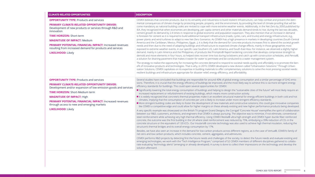### **PRIMARY CLIMATE-RELATED OPPORTUNITY DRIVER:**

Development of new products or services through R&D and innovation

**TIME HORIZON:** Short-term

**MAGNITUDE OF IMPACT:** Medium

**PRIMARY POTENTIAL FINANCIAL IMPACT:** Increased revenues resulting from increased demand for products and services

**LIKELIHOOD:** Likely

### **OPPORTUNITY TYPE:** Products and services

CEMEX believes that concrete products, due to its versatility and robustness to build resilient infrastructure, can help combat and prevent the detrimental consequences of climate change by protecting people, property, and the environment, by providing the level of climate-proofing that will become mandatory as national building codes are revised to cope with more extreme weather events. Additionally, in the Net-Zero by 2050 published by IEA, they recognized that when economies are developing, per capita cement and other materials demand tends to rise; during the last two decades, cement growth its demand by 2.4-times in response to global economic and population expansion. They also mention that an increase in demand is foreseen for cement as it is required to build additional transport infrastructure (roads, cycles, cars, and trucks) and energy infrastructure, e.g., power plants and wind turbines to adapt to new Net-Zero Scenarios. As CEMEX has a high presence in markets in developing countries (South-Central America and the Caribbean, Mexico, Philippines, Egypt…), it is likely that the demand for concrete products increases first to attend the societal growth needs and then due to the need of adapting buildings and infrastructure to expected climate change effects, mainly in those geographies most exposed to extreme weather events, in our specific case Southern US, Latin America, and South-East Asia. For instance, we observed a slightly higher demand, mainly in Latin America and the Philippines, of products like Promptis® Rapid-hardening concrete that develops compressive strength to demold and move elements in four hours, so helped sites recover time lost during lockdowns and catch up with construction schedules, and Pervia®, a solution for draining pavement that makes it easier for water to permeate and be conducted to a water management system.

- **Significantly lowering the total energy consumption of buildings and helping to design the "sustainable cities of the future" will most likely require an** increased replacement or refurbishment of existing buildings, which means more construction activity.
- It is widely recognized that concrete's thermal properties make it an excellent structural material for energy-efficient buildings in both cold and hot climates, implying that the consumption of concrete per unit is likely to increase under more stringent efficiency standards.
- More stringent building codes are likely to foster the development of new materials and constructive solutions; this could give innovative companies like CEMEX a competitive edge and could allow for higher margins on these already existing and new higher performance products being developed.

The strategy to realize the opportunity for increasing the concrete demand to respond to societal needs quickly and affordably is to promote the benefit of innovative products and technologies. That is why, in 2019, CEMEX developed a new division called "Urbanization Solutions." Through Urbanization Solutions, CEMEX capitalizes on its expertise in building materials to offer complementary solutions to solve the most pressing societal needs: resilient buildings and infrastructure appropriate for disaster relief, energy efficiency, and affordability.

### **PRIMARY CLIMATE-RELATED OPPORTUNITY DRIVER:**

Development and/or expansion of low emission goods and services

### **CLIMATE-RELATED RISKS DESCRIPTION OPPORTUNITIES**

### **OPPORTUNITY TYPE:** Products and services

**TIME HORIZON:** Short-Medium term

**MAGNITUDE OF IMPACT:** High

**PRIMARY POTENTIAL FINANCIAL IMPACT:** Increased revenues through access to new and emerging markets

**LIKELIHOOD:** Likely

Several studies have concluded that buildings are responsible for around 40% of global energy consumption and a similar percentage of GHG emissions. Therefore, it is crucial that the energy efficiency of buildings be improved, and the most likely way to achieve this is via more stringent energy efficiency standards for buildings. This could open several opportunities for CEMEX:

A very specific example was showcased on the British TV program Grand Designs; the Corrigall "Concrete House" exemplifies the spirit of collaboration between our R&D, customers, architects, and engineers that CEMEX is always pursuing. The objective was to minimize, if not eliminate, conventional steel reinforcement while achieving very high thermal efficiency. Using CEMEX Resilia® ultra-high-strength and CEMEX hyper ductile fiber-reinforced concrete, the outcome was the first building in the UK where steel reinforcement was reduced by 75%, embodying a 39% reduction of CO2 in the concrete structure or the equivalent of 120 tCO2. Our Insularis® concrete technology was also used to achieve high thermal insulation, reducing the structure's thermal bridges and its overall energy consumption by 17%.

Besides, we have also seen an increase in the demand for low-carbon products across different regions, as is the case of Vertua®, CEMEX's family of net-zero and low carbon products, which includes concrete, cement, aggregates, and admixtures.

CEMEX performs R&D projects by detecting first the future needs and challenges of the society; to detect the future needs and evaluate existing and emerging technologies, we work with the "Tech Intelligence Program," comprised of 52 CEMEX members of different disciplines gathered to collaborate evaluating "technology alerts" (emerging or already developed). A survey is done to collect their impressions on the technology and develop the solution afterward.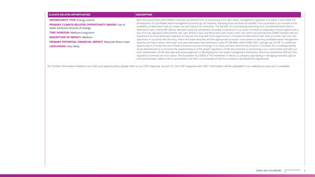| <b>CLIMATE-RELATED OPPORTUNITIES</b>                                                                                                                                                                                                                                                                                        | <b>DESCRIPTION</b>                                                                                                                                                                                                                                                                                                                                                                                                                                                                                                                                                                                                                                                                                                                                                                                                                                                                                                                           |
|-----------------------------------------------------------------------------------------------------------------------------------------------------------------------------------------------------------------------------------------------------------------------------------------------------------------------------|----------------------------------------------------------------------------------------------------------------------------------------------------------------------------------------------------------------------------------------------------------------------------------------------------------------------------------------------------------------------------------------------------------------------------------------------------------------------------------------------------------------------------------------------------------------------------------------------------------------------------------------------------------------------------------------------------------------------------------------------------------------------------------------------------------------------------------------------------------------------------------------------------------------------------------------------|
| <b>OPPORTUNITY TYPE:</b> Energy source<br><b>PRIMARY CLIMATE-RELATED OPPORTUNITY DRIVER: Use of</b><br>lower-emission sources of energy<br><b>TIME HORIZON: Medium-Long term</b><br><b>MAGNITUDE OF IMPACT: Medium</b><br><b>PRIMARY POTENTIAL FINANCIAL IMPACT: Reduced direct costs</b><br><b>LIKELIHOOD: Very likely</b> | Both the environment and CEMEX's revenues can benefit from co<br>development of a profitable waste management business by, for<br>availability of alternative fuels at a lower cost and reduce CO <sub>2</sub> emi<br>Alternative Fuels, mainly RDF (Refuse Derived Fuels)) are sometim<br>lack of or low regulatory enforcement, like Latin America, Asia, and<br>expected to be most positively impacted, as they are the ones wit<br>operations in countries like Germany, where the waste directive a<br>business are fully in place, reach year over year alternative fuel su<br>opportunity to increase the use of lower-emissions sources of en<br>tional administrations to promote the implementation of the prop<br>main stakeholders. (3) We also take a proactive approach in devel<br>regulatory incentives are not in place. The foundation by CEMEX of<br>tural and domestic waste to be co-processed in our kilns, is an ex- |

For further information related to our risks and opportunities, please refer to our CDP response, section C2. Our CDP response with 2021 information will be uploaded in our website as soon as it is available.

o-processing if the right waste management regulation is in place. It will enable the instance, imposing taxes and bans on landfills. This could lead to an increase in the hissions. The benefits of co-processing (switching from conventional fossil fuels to hes not widely understood in our areas of influence, especially in those regions with a Id Africa and some areas in the USA, which are precisely the CEMEX markets that are ith more opportunity to increase the Alternative Fuels rates at a lower fuel cost. Our and the appropriate economic instruments to develop profitable waste management ubstitution rates of 75%-80%, while CEMEX 2021 average was 29.2%. To realize the nergy in our kilns, we have several lines of action: (1) Contact the Local/Regional/Naper regulation. (2) We also promote co-processing in our communities and with our eloping our own waste management businesses, which are sometimes difficult if the of "Pro Ambiente" in Mexico, a company specializing in managing industrial, agriculxample of how the company materialized this opportunity.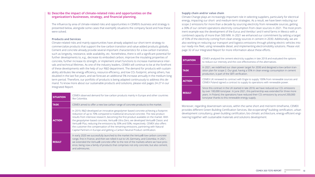### **b) Describe the impact of climate-related risks and opportunities on the organization's businesses, strategy, and financial planning.**

The influence by area of climate-related risks and opportunities in CEMEX's business and strategy is presented below, alongside some cases that exemplify situations the company faced and how these were solved.

### **Products and Services**

Climate-related risks and mainly opportunities have already adapted our short-term strategy to commercialize products that support the low-carbon transition and value-added products globally. Cement and concrete already provide several important characteristics for a low-carbon transition, such as longevity, resistance, wide availability, etc. Nonetheless, there is still a significant potential for further developments to, e.g., decrease its embodied carbon, improve the insulating properties of concrete, further increase its strength, or implement smart functions to increase maintenance intervals and technical lifetimes. As one of the industry leaders, CEMEX will continue to be at the forefront of these developments with the help of our R&D department. The demand for products with sustainability attributes like energy efficiency, resource efficiency, and low CO<sub>2</sub> footprint, among others, has doubled in the last five years, and we forecast an additional 5% increase annually in the medium-long term period. Therefore, our portfolio of products is being adapted continuously to address this demand. To know more about our sustainable products and solutions, please visit pages 24-27 in our Integrated Report.

| <b>SITUATION</b> | CEMEX observed demand for low-carbon products mainly in Europe and other countries<br>like Colombia.                                                                                                                                                                                                                                                                                                                                                                                                                                                                                                                           |
|------------------|--------------------------------------------------------------------------------------------------------------------------------------------------------------------------------------------------------------------------------------------------------------------------------------------------------------------------------------------------------------------------------------------------------------------------------------------------------------------------------------------------------------------------------------------------------------------------------------------------------------------------------|
| <b>TASK</b>      | CEMEX aimed to offer a new low-carbon range of concrete products to the market.                                                                                                                                                                                                                                                                                                                                                                                                                                                                                                                                                |
| <b>ACTION</b>    | In 2019, R&D developed an innovative geopolymer-based concrete achieving a footprint<br>reduction of up to 70% compared to traditional structural concrete. The new product<br>results from intensive research, becoming the first product available on the market. With<br>the geopolymer-based concrete, Vertua® Ultra Zero, we developed Vertua® Classic and<br>Vertua® Plus, reducing the emissions by 30% and 50%, respectively. CEMEX also offers<br>the customer the compensation of the remaining emissions, partnering with Natural<br>Capital Partners in Europe and getting a Carbon Neutral Product certification. |
| <b>RESULT</b>    | In early 2020 we successfully launched to the market the Vertua® low-carbon concrete<br>range, first in France, and then we rolled it out to UK, Germany, and Colombia. In 2021,<br>we extended the Vertua® concrete offer to the rest of the markets where we have pres-<br>ence, being now a family of products that comprises not only concrete, but also cement,<br>and admixtures.                                                                                                                                                                                                                                        |

## **Supply chain and/or value chain**

Climate Change plays an increasingly important role in selecting suppliers, particularly for electrical energy, impacting our short- and medium-term strategies. As a result, we have been reducing our scope 2 emissions for more than a decade by sourcing electricity from renewable sources, getting a 30% of our cement operations electricity consumption from clean sources in 2021. The most prominent example was the development of the Eurus and Ventika I and II wind farms in Mexico with a combined capacity of more than 500 MW. In 2021 we enhanced our commitment by setting a target of 55% of the electricity coming from clean energy sources in cement in 2030. Additionally, we are also working on reducing our transport and logistics emissions through piloting electric vehicles into our ready-mix fleet, using renewable diesel, and implementing electromobility solutions. Please visit page 32 of our Integrated Report for more information about these efforts.

| <b>SITUATION</b> | <b>CEME</b><br>to red            |
|------------------|----------------------------------|
| <b>TASK</b>      | In 20.<br>sition<br>prod         |
| <b>ACTION</b>    | <b>CEME</b><br><b>CEME</b>       |
| <b>RESULT</b>    | Since<br>by ov<br>years<br>tons/ |

Moreover, regarding downstream services, within the same short and mid-term timeframe, CEMEX provides different Green Building Certification Services, like ecoperating® building certification, urban development consultancy, green building certification, bio-climatic architecture, energy-efficient engineering together with sustainable materials and solutions development.

EX analyzed the cement electricity supplies in late 2018 and evaluated the options duce our intensity and the cost-effectiveness of the alternatives.

21, we redefined our clean power target for 2030 and designed a low-carbon trani plan for scope 2. Our goal, having a 55% in clean energy consumption in cement uction, is part of the SBTi verification.

EX UK renewed its contract with Engie to supply 100% from renewable sources and EX Poland signed a contract to supply its operations with renewable power.

this contract in the UK started in late 2018, we have reduced our CO<sub>2</sub> emissions by over 100,000 tons/year. In June 2021, this partnership was extended for three more  $\mu$  in Poland, the operations have reduced their CO<sub>2</sub> emissions by around 200,000 year thanks to this renewable energy supply.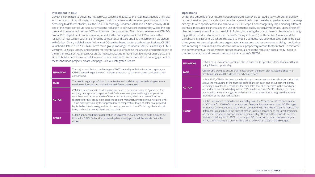### **Investment in R&D**

CEMEX is committed to delivering net-zero CO<sub>2</sub> concrete in 2050, so the R&D investment is a key player in our short, mid and long-term strategies for all our cement and concrete operations worldwide. According to different studies, like the IEA-CSI Technology Roadmap 2018 and IEA Net-Zero by 2050, one of the major contributors to our emissions reduction to achieve carbon neutrality will be the capture and storage or utilization of CO<sub>2</sub> emitted from our processes. The role and relevance of CEMEX's Global R&D department is now essential, as well as the participation of CEMEX Ventures in the research of low-carbon solutions offered by companies and start-ups, like the agreement we signed with Carbon Clean, a global leader in low-cost CO<sub>2</sub> amine-based capture technology. Besides, CEMEX launched in late 2019 a "CO2 Task Force" focus group involving Operations, R&D, Sustainability, CEMEX Ventures, Logistics, Energy, and regional representatives to streamline the analysis and participation in the further research. As a result, CEMEX is now participating in more than 30 innovation projects and aims to build a demonstration pilot in seven of our facilities. To know more about our engagement in these innovation projects, please visit page 33 in our Integrated Report.

| <b>SITUATION</b> | The major contributor to achieving our 2050 neutrality ambition is carbon capture, so<br>CEMEX needed to get involved in capture research by partnering and participating with<br>consortiums.                                                                                                                                                                                                                                                                                                                                                                                                            |
|------------------|-----------------------------------------------------------------------------------------------------------------------------------------------------------------------------------------------------------------------------------------------------------------------------------------------------------------------------------------------------------------------------------------------------------------------------------------------------------------------------------------------------------------------------------------------------------------------------------------------------------|
| <b>TASK</b>      | The goal is to get a portfolio of cost-effective and scalable capture technologies, so we<br>need to explore and get involved in the different alternatives.                                                                                                                                                                                                                                                                                                                                                                                                                                              |
| <b>ACTION</b>    | CEMEX is determined to be disruptive and started conversations with Synhelion. The<br>radically new approach replaces fossil fuels in cement plants with high-temperature<br>solar heat and captures 100% of the carbon emissions, which are then utilized as<br>feedstock for fuel production, enabling cement manufacturing to achieve net-zero level.<br>This is made possible by the unprecedented temperature levels of solar heat provided<br>by Synhelion's technology and its pioneering process to turn CO <sub>2</sub> into synthetic drop-in<br>fuels, such as kerosene, diesel, and gasoline. |
| <b>RESULT</b>    | CEMEX announced their collaboration in September 2020, aiming to build a pilot to be<br>finished in 2023. So far, this partnership has already produced the world's first solar<br>clinker.                                                                                                                                                                                                                                                                                                                                                                                                               |

### **Operations**

Under the umbrella of our Future in Action program, CEMEX elaborated a very comprehensive low carbon transition plan for a short and medium-term time horizon. We developed a detailed roadmap site by site with specific actions to achieve our 2030 Scope 1 and 2 targets by implementing different technical measures like increasing the use of Alternative Fuels, particularly biomass, upgrading inefficient technology assets like our new kiln in Poland, increasing the use of clinker substitutes or changing portfolio products to more added cements mainly in SCA&C (South-Central America and the Caribbean), Mexico and US, where the swap to Type I-L cements has been deployed during the past three years. We also adopted some organizational measures such as awareness-raising, monitoring and reporting of emissions, and extensive use of our proprietary carbon footprint tool. To reinforce this commitment, all the operations are set an annual emissions reduction goal already linked to their remuneration and now also impacting their country's EBITDA.

| <b>SITUATION</b> | CEM<br>beir                                                 |
|------------------|-------------------------------------------------------------|
| <b>TASK</b>      | CEM<br>time                                                 |
| <b>ACTION</b>    | In la<br>allov<br>refle<br>ate i<br>adva<br>plish           |
| <b>RESULT</b>    | ln 20<br>VS. Y<br>for I<br>diffe<br>on t<br>plish<br>$-4.7$ |
|                  |                                                             |

**RE** 

**SITUATION** CEMEX has a low carbon transition plan in place for its operations (CO<sub>2</sub> Roadmap) that is ng followed up monthly.

**TASK** CEMEX CEO wants to ensure that its low carbon transition plan is accomplished in a  $e$ ly manner in all the sites at the scheduled pace.

> In 2020, CEMEX designed a methodology to implement an internal carbon price that ws the measuring of the financial performance in each one of our cement plants, ecting a cost for CO<sub>2</sub> emissions that simulates that all of our sites in the world operunder an emission trading system (ETS) similar to Europe's ETS, which is the most anced scheme, that together with the link to remuneration, strengthen the accomhment of the planned activities.

> 021, we started to monitor on a monthly basis the Year-to-date (YTD) performance TD goal for 100% of our cement sites. Example: Panama has a monthly/YTD target Net kgCO<sub>2</sub>/cementitious ton, and it is compared to its monthly/YTD performance. The erence is multiplied to the price of carbon updated according to the latest projection the market price in Europe, impacting its monthly EBITDA. All the efforts to accomh our roadmap led in 2021 to the largest  $CO<sub>2</sub>$  reduction for our company in a year, %, confirming we are on the right track to achieve our 2025 and 2030 targets.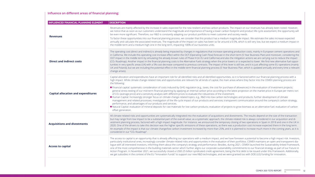### **Influence on different areas of financial planning:**

| <b>INFLUENCED FINANCIAL PLANNING ELEMENT</b> | <b>DESCRIPTION</b>                                                                                                                                                                                                                                                                                                                                                                                                                                                                                                                                                                                                                                                                                                                                                                                                                                                                                                                                        |
|----------------------------------------------|-----------------------------------------------------------------------------------------------------------------------------------------------------------------------------------------------------------------------------------------------------------------------------------------------------------------------------------------------------------------------------------------------------------------------------------------------------------------------------------------------------------------------------------------------------------------------------------------------------------------------------------------------------------------------------------------------------------------------------------------------------------------------------------------------------------------------------------------------------------------------------------------------------------------------------------------------------------|
| <b>Revenues</b>                              | Revenues are mainly affected by the increase in sales expected for the new resilient and low carb<br>we notice that as soon as our customers understand the magnitude and importance of having a<br>be even more significant. Therefore, our R&D is constantly adapting our product portfolio to mee<br>To factor these opportunities into our financial planning process, we consider that this product he<br>annually and calculate the associated revenues. The magnitude of the impact on sales has been s<br>the middle term and a medium-high one in the long term, impacting 100% of our business units.                                                                                                                                                                                                                                                                                                                                           |
| <b>Direct and indirect costs</b>             | The operating cost (direct and indirect) is already being impacted by changes in regulations that in<br>in California. We include this operating cost increase effect within the OCF (Operating Cash Flow) fo<br>OCF impact in the middle term by simulating the already known rules of Phase IV (in EU and Califor<br>(CO <sub>2</sub> Roadmap). Another impact in the financial planning costs is the Alternative Fuels strategy whe<br>tunities in very specific areas (UK) with a 5% cost decrease compared to previous contracts. The in<br>UK and Poland), but we are including the potential effect in the middle term financial planning prod<br>change arises).                                                                                                                                                                                                                                                                                  |
| <b>Capital allocation and expenditures</b>   | Capital allocation and expenditures have an important role for all identified risks and all identified<br>high impact. While climate change-related risks and opportunities are relevant for all kinds of cap<br>the following:<br>Financial capital: systematic consideration of costs induced by GHG regulation (e.g., taxes, the c<br>general stress testing of our mid-term financial planning by applying an internal carbon price ad<br>of CO <sub>2</sub> (average price) and a sensitivity analysis with different prices to evaluate the robustness<br>Human Capital: Increasingly stronger focus on climate change-related topics, e.g., R&D into low-<br>management and related processes; investigation of the life-cycle impact of our products and s<br>performance, and advantages of our products and services.<br>Natural Capital: evaluation of mineral deposits for raw materials for low-carbon products; evalu<br>offset generation. |
| <b>Acquisitions and divestments</b>          | All climate-related risks and opportunities are systematically integrated into the evaluation of acq<br>but may range from low impact to be a substantial part of the overall value; as a systematic appro<br>vestment planning process, factored with a high impact magnitude. For instance, we announced t<br>2020. One of the drivers to take this decision was the higher specific emissions of these operation<br>An example of the impact is that our climate change/low carbon investment increased by more the<br>considered in our "CO <sub>2</sub> Roadmap".                                                                                                                                                                                                                                                                                                                                                                                    |
| <b>Access to capital</b>                     | The access to capital is an opportunity that is already affecting our operations with a medium imp<br>particularly institutional ones, increasingly consider climate-related risks and opportunities in the<br>logue with all interested investors, informing them about the company's strategy and performanc<br>one of the most comprehensive in the building materials sector which further aligns our corporat<br>Action Program. In November 2021, we successfully closed a US\$3.25 billion syndicated credit ag<br>we get subsidies in the context of the EU "Innovation Funds" to support our new R&D technologie                                                                                                                                                                                                                                                                                                                                 |

low carbon products. The impact on our revenues has already been noted. However, aving a lower carbon footprint and product life cycle assessment, the opportunity will to meet customer and society needs.

oduct has a medium magnitude impact. We estimate the sales increase expected s been so far around a 0.5%, which is still very low, but we expect a medium impact in

s that increase operating production costs, mainly in European cement operations and i Flow) forecast in the short term (5 Year Business Plan) and moreover, considering the od California) and also the mitigation actions we are carrying out to reduce the impact tegy when the price lowers or is expected to lower. We find new alternative fuel oppors. The impact of this lever is still low, and it is just affecting some EU operations (mainly hing process (5 Year Business Plan, which is updated annually and every time a relevant

dentified opportunities, so it is factored within our financial planning process with a ls of capital, the main areas where they factor into the CEMEX planning process are

es, the cost for purchase of allowances) in the evaluation of investment projects; price according to the latest projection on the market price in Europe per metric ton ustness of the investment.

into low-carbon technologies and products; further development of climate ts and services; transparent communication around the company's carbon strategy,

ts; evaluation of projects to grow biomass as an alternative fuel; evaluation of carbon

n of acquisitions and divestments. The results depend on the size of the transaction tic approach, the climate-related risk is always considered in our acquisition and dibunced the temporary closing of two operations in Spain in 2018 and one in the UK in perations, as there was a production cost increase expected there in the long term. more than 25%, and it is planned to increase much more in the coming years, as it is

Iium impact, and we have foreseen a potential to become a high impact risk. Investors, es in the evaluation of their portfolios. CEMEX maintains an open and transparent diaformance. Besides, during 2021, CEMEX launched the Sustainability-linked Framework, corporate sustainability commitments to our financial strategy as part of our Future in redit agreement, being the first debt to be issued under this Framework. Additionally, hnologies, and we were granted too with DOE (US) funding for innovation.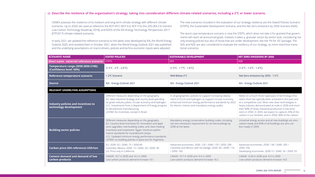| <b>SCENARIO NAME</b>                                           | <b>STATED POLICIES</b>                                                                                                                                                                                                                                                                                                                                                             | <b>SUSTAINABLE DEVELOPMENT</b>                                                                                                                                                                                                     | <b>NET ZERO EMISSIONS BY 2050</b>                                                                                                                                                                                                                                                                                                                                                                                 |
|----------------------------------------------------------------|------------------------------------------------------------------------------------------------------------------------------------------------------------------------------------------------------------------------------------------------------------------------------------------------------------------------------------------------------------------------------------|------------------------------------------------------------------------------------------------------------------------------------------------------------------------------------------------------------------------------------|-------------------------------------------------------------------------------------------------------------------------------------------------------------------------------------------------------------------------------------------------------------------------------------------------------------------------------------------------------------------------------------------------------------------|
| Short name - external reference scenario STEPS                 |                                                                                                                                                                                                                                                                                                                                                                                    | <b>SDS</b>                                                                                                                                                                                                                         | <b>NZE</b>                                                                                                                                                                                                                                                                                                                                                                                                        |
| Temperature range (2030-2050-2100):<br>(Confidence level: 50%) | $(1.5^{\circ}C - 2^{\circ}C - 2.6^{\circ}C)$                                                                                                                                                                                                                                                                                                                                       | $(1.5^{\circ}C - 1.7^{\circ}C - 1.6^{\circ}C)$                                                                                                                                                                                     | $(1.5^{\circ}C - 1.5^{\circ}C - 1.4^{\circ}C)$                                                                                                                                                                                                                                                                                                                                                                    |
| Reference temperature scenario                                 | > 2°C Scenario                                                                                                                                                                                                                                                                                                                                                                     | Well Below 2°C                                                                                                                                                                                                                     | Net-Zero emissions by 2050 - 1.5°C                                                                                                                                                                                                                                                                                                                                                                                |
| <b>Source</b>                                                  | IEA - Energy Outlook 2021                                                                                                                                                                                                                                                                                                                                                          | IEA - Energy Outlook 2021                                                                                                                                                                                                          | IEA - Energy Outlook 2021                                                                                                                                                                                                                                                                                                                                                                                         |
| RELEVANT UNDERLYING ASSUMPTIONS                                |                                                                                                                                                                                                                                                                                                                                                                                    |                                                                                                                                                                                                                                    |                                                                                                                                                                                                                                                                                                                                                                                                                   |
| Industry policies and incentives to<br>technology development  | Different measures depending on the geography.<br>EU: New Industrial Strategy and country-level spending<br>on green industry pilots, circular economy and hydrogen.<br>U.S.: Investments from a Department of Energy program<br>to decarbonize manufacturing.<br>LATAM: No incentives, except in Brazil.                                                                          | In all geographies, policies to support increasing deploy-<br>ment of CCUS and hydrogen, to support circular economy,<br>enhanced minimum energy performance standards by 2025<br>for electric motors and mandatory energy audits. | Relies on a much more rapid pace of technology inno-<br>vation than has typically been achieved in the past and<br>at a competitive cost. Most new clean technologies in<br>heavy industry demonstrated at scale in 2030 and more<br>than 90% of heavy industrial production is low emis-<br>sions in 2050. In 2035, we expect to capture 25% of the<br>carbon in our facilities, and in 2050, 90% of the carbon. |
| <b>Building sector policies</b>                                | Different measures depending on the geography.<br>EU: Country-level incentives for renovation and appli-<br>ance upgrades, new building codes, and clean heating<br>incentives and investment. Egypt: minimum perfor-<br>mance standards for incandescent lamps.<br>U.S.: Updated minimum energy performance standards.<br>LATAM: no building policies in place but for Argentina. | Mandatory energy conservation building codes, including<br>net-zero emissions requirement for all new buildings by<br>2030 at the latest.                                                                                          | Universal energy access and all new buildings are zero<br>carbon-ready and 85% of all buildings are zero car-<br>bon-ready in 2050.                                                                                                                                                                                                                                                                               |
| <b>Carbon price (IEA reference) USD/ton</b>                    | EU: 2030: 65 / 2040: 75 / 2050:90<br>Colombia, Mexico: 2030: 15 / 2040: 20 / 2050: 30<br>US: Price only in California.                                                                                                                                                                                                                                                             | Advanced economies: 2030: 120 / 2040: 170 / 2050: 200<br>Colombia and Mexico with NZ pledge: 2030: 40 / 2040: 110<br>/ 2050: 160                                                                                                   | Advanced economies: 2030: 130 / 2040: 205 /<br>2050: 250<br>Developing economies: 2030:15 / 2040: 35 / 2050: 55                                                                                                                                                                                                                                                                                                   |
| <b>Cement demand and demand of low</b><br>carbon products      | CAAGR: +0.7 in 2030 and -0.2 in 2050<br>Low carbon products demand increase +0.1                                                                                                                                                                                                                                                                                                   | CAAGR: +0.7 in 2030 and -0.4 in 2050<br>Low-carbon products demand increase +0.2                                                                                                                                                   | CAAGR: -0.20 in 2030 and -0.3 in 2050<br>Low-carbon products demand increase +0.5                                                                                                                                                                                                                                                                                                                                 |

# **c) Describe the resilience of the organization's strategy, taking into consideration different climate-related scenarios, including a 2°C or lower scenario.**

CEMEX assesses the resilience of its medium and long-term climate strategy with different climate scenarios. Up to 2020, we used as reference the RCP-IPCC (RCP 6.0, RCP 4.5); the 2DS (IEA-CSI Cement Low-Carbon Technology Roadmap 2018); and B2DS of the IEA-Energy Technology Perspectives 2017 (ETP2017) climate-related scenarios.

In early 2021, we updated the reference scenarios to the latest ones developed by IEA, the World Energy Outlook 2020, and revisited them in October 2021, when the World Energy Outlook 2021 was published and the underlying assumptions on macro-drivers, policies and techno-economic inputs were adjusted.

The new scenarios included in the evaluation of our strategy resiliency are the Stated Policies Scenario (STEPS), the Sustainable Development Scenario, and the Net Zero emissions by 2050 Scenario (NZE).

The worst case temperature scenario is now the STEPS, which does not take it for granted that governments will reach all announced goals. Instead, it takes a granular sector-by-sector look, considering not only existing policies but also of those that are under development, like the "Fit for 55" package. The SDS and NZE are also considered to evaluate the resiliency of our strategy, as more restrictive transitional scenarios.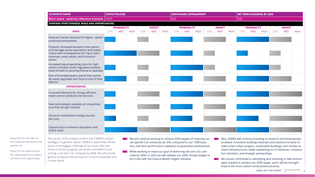Impact for the risk refers to the company's exposure to the specific risk.

Impact for the opportunity is the capitalization the company can have on the opportunity.

| <b>SCENARIO NAME</b>                                                                                                                                                                                                                                                                                                                                                                         | <b>STATED POLICIES</b> |                                                                                                                                                                                                                                                                                                                                                                                                                                                                                                                                                                                                                                                                                                                                                                                                                                                                                                                                                                               |             |               | <b>SUSTAINABLE DEVELOPMENT</b> |                    |            |            | <b>NET ZERO EMISSIONS BY 2050</b> |     |                    |             |     |               |             |            |            |             |
|----------------------------------------------------------------------------------------------------------------------------------------------------------------------------------------------------------------------------------------------------------------------------------------------------------------------------------------------------------------------------------------------|------------------------|-------------------------------------------------------------------------------------------------------------------------------------------------------------------------------------------------------------------------------------------------------------------------------------------------------------------------------------------------------------------------------------------------------------------------------------------------------------------------------------------------------------------------------------------------------------------------------------------------------------------------------------------------------------------------------------------------------------------------------------------------------------------------------------------------------------------------------------------------------------------------------------------------------------------------------------------------------------------------------|-------------|---------------|--------------------------------|--------------------|------------|------------|-----------------------------------|-----|--------------------|-------------|-----|---------------|-------------|------------|------------|-------------|
| Short name - external reference scenario   STEPS                                                                                                                                                                                                                                                                                                                                             |                        |                                                                                                                                                                                                                                                                                                                                                                                                                                                                                                                                                                                                                                                                                                                                                                                                                                                                                                                                                                               |             |               | <b>SDS</b>                     |                    |            |            | <b>NZE</b>                        |     |                    |             |     |               |             |            |            |             |
| STRATEGY EFFECTIVENESS: RISKS AND OPPORTUNITIES                                                                                                                                                                                                                                                                                                                                              |                        |                                                                                                                                                                                                                                                                                                                                                                                                                                                                                                                                                                                                                                                                                                                                                                                                                                                                                                                                                                               |             |               |                                |                    |            |            |                                   |     |                    |             |     |               |             |            |            |             |
|                                                                                                                                                                                                                                                                                                                                                                                              | <b>PROBABILITY</b>     |                                                                                                                                                                                                                                                                                                                                                                                                                                                                                                                                                                                                                                                                                                                                                                                                                                                                                                                                                                               |             | <b>IMPACT</b> |                                | <b>PROBABILITY</b> |            |            | <b>IMPACT</b>                     |     | <b>PROBABILITY</b> |             |     | <b>IMPACT</b> |             |            |            |             |
| <b>RISKS</b>                                                                                                                                                                                                                                                                                                                                                                                 | <b>LOW</b>             | <b>MED</b>                                                                                                                                                                                                                                                                                                                                                                                                                                                                                                                                                                                                                                                                                                                                                                                                                                                                                                                                                                    | <b>HIGH</b> | <b>LOW</b>    | <b>MED</b>                     | <b>HIGH</b>        | <b>LOW</b> | <b>MED</b> | <b>HIGH</b>                       | LOW | <b>MED</b>         | <b>HIGH</b> | LOW | <b>MED</b>    | <b>HIGH</b> | <b>LOW</b> | <b>MED</b> | <b>HIGH</b> |
| Reduced market demand for higher-carbon<br>products/commodities                                                                                                                                                                                                                                                                                                                              |                        |                                                                                                                                                                                                                                                                                                                                                                                                                                                                                                                                                                                                                                                                                                                                                                                                                                                                                                                                                                               |             |               |                                |                    |            |            |                                   |     |                    |             |     |               |             |            |            |             |
| Physical: Increased business interruption<br>and damage across operations and supply<br>chains with consequences for input costs,<br>revenues, asset values, and insurance<br>claims                                                                                                                                                                                                         |                        |                                                                                                                                                                                                                                                                                                                                                                                                                                                                                                                                                                                                                                                                                                                                                                                                                                                                                                                                                                               |             |               |                                |                    |            |            |                                   |     |                    |             |     |               |             |            |            |             |
| Increased input/operating costs for high<br>carbon activities under regulated markets<br>(even threats to securing license to operate)                                                                                                                                                                                                                                                       |                        |                                                                                                                                                                                                                                                                                                                                                                                                                                                                                                                                                                                                                                                                                                                                                                                                                                                                                                                                                                               |             |               |                                |                    |            |            |                                   |     |                    |             |     |               |             |            |            |             |
| Risk of stranded assets: plants that cannot<br>be easily upgraded and close to end of their<br>lifetime                                                                                                                                                                                                                                                                                      |                        |                                                                                                                                                                                                                                                                                                                                                                                                                                                                                                                                                                                                                                                                                                                                                                                                                                                                                                                                                                               |             |               |                                |                    |            |            |                                   |     |                    |             |     |               |             |            |            |             |
| <b>OPPORTUNITIES</b>                                                                                                                                                                                                                                                                                                                                                                         |                        |                                                                                                                                                                                                                                                                                                                                                                                                                                                                                                                                                                                                                                                                                                                                                                                                                                                                                                                                                                               |             |               |                                |                    |            |            |                                   |     |                    |             |     |               |             |            |            |             |
| Increased demand for energy-efficient,<br>lower-carbon products and services                                                                                                                                                                                                                                                                                                                 |                        |                                                                                                                                                                                                                                                                                                                                                                                                                                                                                                                                                                                                                                                                                                                                                                                                                                                                                                                                                                               |             |               |                                |                    |            |            |                                   |     |                    |             |     |               |             |            |            |             |
| New technologies available at competitive<br>cost that disrupt markets                                                                                                                                                                                                                                                                                                                       |                        |                                                                                                                                                                                                                                                                                                                                                                                                                                                                                                                                                                                                                                                                                                                                                                                                                                                                                                                                                                               |             |               |                                |                    |            |            |                                   |     |                    |             |     |               |             |            |            |             |
| Access to competitive energy sources<br>(AF cost)                                                                                                                                                                                                                                                                                                                                            |                        |                                                                                                                                                                                                                                                                                                                                                                                                                                                                                                                                                                                                                                                                                                                                                                                                                                                                                                                                                                               |             |               |                                |                    |            |            |                                   |     |                    |             |     |               |             |            |            |             |
| Opportunity to enhance reputation and<br>brand value                                                                                                                                                                                                                                                                                                                                         |                        |                                                                                                                                                                                                                                                                                                                                                                                                                                                                                                                                                                                                                                                                                                                                                                                                                                                                                                                                                                               |             |               |                                |                    |            |            |                                   |     |                    |             |     |               |             |            |            |             |
| The results of the analysis confirm that CEMEX's carbon<br>strategy is in general robust. CEMEX is aware that climate<br>action is the biggest challenge of our times. With the<br>Future in Action program, we remain committed to be-<br>coming a net-zero CO <sub>2</sub> company by 2050. We will provide<br>greener products and services for a more sustainable and<br>circular world. |                        | We will continue working to achieve 2030 targets of reducing our<br>Also, CEMEX will continue investing in research and development<br>net specific CO <sub>2</sub> emissions by 35% compared to our 1990 base-<br>to deliver innovative building materials and solutions to build cli-<br>line; mid-term performance validation to guarantee achievement<br>mate-smart urban projects, sustainable buildings, and climate-re-<br>silient infrastructures, while capitalizing on CX Ventures, Urbaniza-<br>While working to reach our goal of delivering net-zero CO2 con-<br>tion Solutions, and strategic partnerships.<br>crete by 2050, in 2022 we will validate our 2050 climate targets to<br>be in line with the Science Based Targets initiative<br>We remain committed to identifying and investing in new technol-<br>ogies needed to achieve our 2050 target, and it will be strength-<br>ened in the most carbon-constrained scenarios.<br>CEMEX 2021 TCFD REPORT |             |               |                                |                    |            |            |                                   |     |                    |             |     |               |             |            |            |             |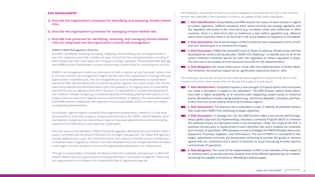### **RISK MANAGEMENT**

- **a) Describe the organization's processes for identifying and assessing climate-related risks.**
- **b) Describe the organization's processes for managing climate-related risks.**
- **c) Describe how processes for identifying, assessing, and managing climate-related risks are integrated into the organization's overall risk management.**

### **CEMEX's Risk Management Process**

At CEMEX, identifying, assessing, discussing, mitigating, and monitoring risks and opportunities is part of an integral process that considers all types of potential risks and opportunities, including climate-related ones that could impact the company's strategic objectives. The Enterprise Risk Management (ERM) and the Sustainability functions have primary responsibility for conducting this process.

For example, regional experts constantly follow legislative developments related to CO<sub>2</sub> and meet every quarter to share their progress, analyze potential impacts for CEMEX, and immediately report any material changes (such as new emission taxes or important adjustments to emissions trading systems) to the ERM network and Corporate Sustainability.

CEMEX's risk management model is a combination of both a 'bottom-up' and 'top-down' system, that is, one that connects top management insights with the rest of the organization to manage risks and opportunities comprehensively. The risk management process is implemented in a standardized way by the ERM representatives who are present at global, regional, and country levels. The risk and opportunity agendas are developed twice a year and updated on an ongoing basis. A sustainability specialist focuses on regulatory and other risks (such as reputational or market), whereas physical risks related to climate change (e.g., increased probability of flooding, potential interruptions of the supply chain) are covered by regional and local representatives. In addition, the Sustainability expert in the ERM network collaborates with regional and local sustainability staff to monitor and analyze corresponding developments.

**1. Risk Identification:** Sustainability and ERM monitor the status of each country in regard to carbon regulation. Different situations exist: some countries are already regulated, and the regulation will evolve in the short-term (e.g., European Union and California); in other countries, there is a short-term plan to implement a new carbon regulation (e.g., Mexico); and in some countries, there is no short-term risk, but a medium or long-term is considered.

**2. Risk Assessment:** the financial impact of the transitional risk is evaluated in terms of CO<sub>2</sub> and cost, and the goal is to minimize this impact.

**3. Risk Discussion:** CEMEX has launched Future in Action to address climate action and has developed the cement site-by-site plan "CEMEX CO2 Roadmap", to identify and list all of the carbon reduction initiatives specific for each site regardless of carbon regulation in place. The plan has to be tracked, and the resources ensured for full implementation.

**4. Risk Mitigation:** the result of the action is that, after the implementation of all the identified initiatives, the financial impact can be significantly reduced by close to -20%.

Once the risks are fully identified, CEMEX's Global risk agenda is developed and presented to the Executive Committee and the Board of Directors for its insight and approval. The Global Risk Agenda is formally updated twice a year. All contributors (direct and indirect) constantly monitor the evolution of important topics (regulatory, scientific and other developments), and changes identified as material will trigger a process designed to ensure that appropriated adjustments are implemented.

**1. Risk Identification:** Increased frequency and strength of tropical storms and hurricanes can cause a disruption in supply to our operations. The ERM function selects those operations with a higher probability of an extreme event happening, based mainly on historical events derived from climate change patterns (e.g., Dominican Republic, Colombia, and Puerto Rico from our South-Central America & Caribbean region).

**2. Risk Assessment:** The physical risk is evaluated in order to identify all potential impacts that could limit CEMEX from achieving strategic objectives.

Through its Sustainability Committee, the Board of Directors oversees and discusses in detail the climate-related risks and opportunities previously identified in the Global risk agenda. These risks and opportunities are included in the Sustainability Risk & Opportunity Agenda.

**3. Risk Discussion:** To manage the risk, the ERM function takes a structured and homogeneous global approach by implementing a Business Continuity Program (BCP) to minimize the potential impact of a disruptive event in our businesses. Under the scope of the BCP, a business recovery plan is implemented in each identified site, and it enables the continuity and recovery of operations. ERM develops recovery strategies for PREPSI (People, Resources, Equipment, Premises, Suppliers, and Information). The loss of PREPSI is considered in two stages: operational continuity (by temporarily continuing to provide the goods or services agreed with our customers) and a return to business as usual (recovering business back to normal levels of operation).

The following is an example of how this process is applied to a transitional risk. One of the most important risks identified is the transition to a new or an update of the carbon regulation.

The following is an example of how the described process is applied to a physical risk, which is the increase of extreme storm events that can disrupt the supply of crucial inputs.

**4. Risk Mitigation:** The result of the implementation of BCP is the reduction of the impact of an extreme event, as we decrease the recovery time of the affected operation by, for instance, increasing the supplies inventories or identifying a backup supply.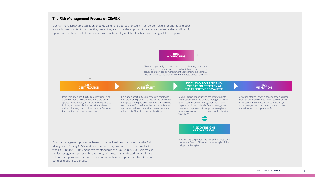Our risk management process is an ongoing systematic approach present in corporate, regions, countries, and operational business units. It is a proactive, preventive, and corrective approach to address all potential risks and identify opportunities. There is a full coordination with Sustainability and the climate action strategy of the company.



Mitigation strategies with a specific action plan for each risk are implemented. ERM representatives follow up on the risk treatment strategy and, in some cases, act as coordinators of ad-hoc task forces focused to mitigate specific risks.

### **RISK MITIGATION**

# **The Risk Management Process at CEMEX**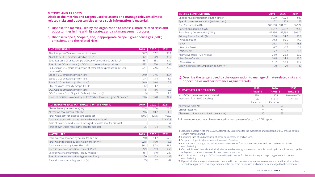# **c) Describe the targets used by the organization to manage climate-related risks and opportunities and performance against targets.**

### **CLIMATE-RELATED TAI**

Kg. of CO2/ ton cementitious (Reduction from 1990 base

Alternative fuels (%) Clinker factor (%) Clean electricity consumpt

### **METRICS AND TARGETS**

**Disclose the metrics and targets used to assess and manage relevant climaterelated risks and opportunities where such information is material.**

- **a) Disclose the metrics used by the organization to assess climate-related risks and opportunities in line with its strategy and risk management process.**
- **b) Disclose Scope 1, Scope 2, and, if appropriate, Scope 3 greenhouse gas (GHG) emissions, and the related risks.**

**5** Our definition of clean electricity includes renewable energy sources such as solar, wind, hydro and biomass, together with power generated from waste heat recovery systems.

**6** Classification according to GCCA Sustainability Guidelines for the monitoring and reporting of water in cement

**2** Excluding "use of sold products" of other businesses, 4.1 million tons.

**3** Scopes 1 + 2 per total revenues in thousand US dollars.

**4** Calculation according to GCCA Sustainability Guidelines for co-processing fuels and raw materials in cement

- cement manufacturing.
- 
- 
- manufacturing.
- 
- manufacturing.
- 

**7** Figure includes non-recyclable waste consumed in our operations as alternative raw material and fuel, alternative/ secondary aggregates, own recycled material in our main businesses and other waste managed by the company.

| <b>GHG EMISSIONS</b>                                                                                    | 2019 | 2020 | 2021 |
|---------------------------------------------------------------------------------------------------------|------|------|------|
| Absolute gross CO <sub>2</sub> emissions (million tons) <sup>1</sup>                                    | 38.7 | 37.2 | 38.1 |
| Absolute net CO <sub>2</sub> emissions (million tons) <sup>1</sup>                                      | 36.1 | 34.9 | 35.2 |
| Specific gross CO <sub>2</sub> emissions (kg CO <sub>2</sub> /ton of cementitious product) <sup>1</sup> | 667  | 658  | 639  |
| Specific net CO <sub>2</sub> emissions (kg CO <sub>2</sub> /ton of cementitious product) <sup>1</sup>   | 622  | 620  | 591  |
| Reduction in CO <sub>2</sub> emissions per ton of cementitious product from 1990<br>baseline (%)        | 22.4 | 22.6 | 26.2 |
| Scope 1 CO <sub>2</sub> emissions (million tons)                                                        | 39.0 | 37.5 | 38.4 |
| Scope 2 CO <sub>2</sub> emissions (million tons)                                                        | 3.4  | 3.4  | 3.7  |
| Scope 3 CO <sub>2</sub> emissions (million tons) <sup>2</sup>                                           | 10.9 | 10.4 | 10.7 |
| CO <sub>2</sub> Emissions Intensity (Scope $1 + 2$ ) <sup>3</sup>                                       | 3.2  | 3.2  | 2.9  |
| CO <sub>2</sub> Avoided Emissions (million tons)                                                        | 7.5  | 8.6  | 10.2 |
| CO <sub>2</sub> Emissions from Biogenic Carbon (million tons) <sup>1</sup>                              | 1.9  | 1.7  | 1.8  |
| Scope of emissions covered by an ETS/carbon taxation regime (% Scope 1)                                 | 33.6 | 36.0 | 34.7 |

| <b>ALTERNATIVE RAW MATERIALS &amp; WASTE MGMT.</b>                 | 2019  | 2020                     | 2021     |
|--------------------------------------------------------------------|-------|--------------------------|----------|
| Clinker Factor (Cementitious) (%)                                  | 77 8  | 77 O                     | 75.2     |
| Alternative raw material rate (%) <sup>4</sup>                     | 9.6   | 10.2                     | 11.0     |
| Total waste sent for disposal (thousand ton)                       | 430.3 | 405.5                    | 405.0    |
| Total waste-derived sources managed (thousand ton)7                |       | $\overline{\phantom{0}}$ | 22,887.3 |
| Ratio of waste-derived sources managed vs. waste sent for disposal |       | $\overline{\phantom{0}}$ | 57       |
| Ratio of own waste recycled vs. sent for disposal                  | 95    | 94                       | 95       |

| 2019 | 2020 | 2021 |
|------|------|------|
| 59.0 | 53.7 | 57.2 |
| 22.8 | 16.0 | 15.6 |
| 36.1 | 37.8 | 41.6 |
| 229  | 233  | 255  |
| 214  | 219  | 238  |
| 100  | 123  | 132  |
| 83   | 82   | 82   |
|      |      |      |

| <b>ENERGY CONSUMPTION</b>                                | 2019    | 2020    | 2021    |
|----------------------------------------------------------|---------|---------|---------|
| Specific heat consumption (MJ/ton clinker)               | 3,999   | 4,024   | 4,023   |
| Specific power consumption (kWh/ton cem)                 | 122     | 123     | 122     |
| Fuel Consumption (TJ)                                    | 186,190 | 181,071 | 186,927 |
| Power Consumption (GWh)                                  | 7,517   | 7,297   | 7,583   |
| Total Energy Consumption (GWh)                           | 59,236  | 57,594  | 59,507  |
| Primary Fuels - Fuel Mix (%)                             | 72.0    | 74.7    | 70.8    |
| Petroleum coke                                           | 39.3    | 50.5    | 44.7    |
| Coal                                                     | 26.3    | 17.3    | 18.5    |
| Fuel oil + Diesel                                        | 0.7     | 0.7     | 1.1     |
| Natural gas                                              | 5.7     | 6.2     | 6.5     |
| Alternative Fuels - Fuel Mix (%)                         | 28.0    | 25.3    | 29.2    |
| Fossil-based waste                                       | 16.8    | 14.5    | 18.5    |
| Biomass waste                                            | 11.2    | 10.8    | 10.7    |
| Clean electricity consumption in cement (%) <sup>5</sup> | 30      | 29      | 30      |

| २GETS             | 2025<br><b>TARGETS</b> | 2030<br><b>TARGETS</b> | 2050<br><b>TARGETS</b>   |
|-------------------|------------------------|------------------------|--------------------------|
| us material       | 520                    | < 475                  | Net-zero CO <sub>2</sub> |
| eline)            | 35%                    | >40%                   | concrete                 |
|                   | Reduction              | Reduction              |                          |
|                   | 43                     | 50                     |                          |
|                   | 74                     | 71                     |                          |
| ion in cement (%) | 40                     | 55                     |                          |

**1** Calculation according to the GCCA Sustainability Guidelines for the monitoring and reporting of CO<sub>2</sub> emissions from

To know more about our climate-related targets, please refer to our CDP report.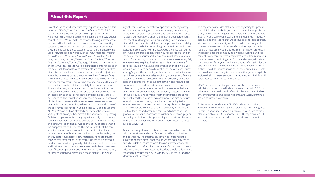Except as the context otherwise may require, references in this report to "CEMEX," "we," "us" or "our" refer to CEMEX, S.A.B. de C.V. and its consolidated entities. This report contains forward-looking statements within the meaning of the U.S. federal securities laws. We intend these forward-looking statements to be covered by the safe harbor provisions for forward-looking statements within the meaning of the U.S. federal securities laws. In some cases, these statements can be identified by the use of forward-looking words such as "may," "assume," "might," "should," "could," "continue," "would," "can," "consider," "anticipate," "estimate," "expect," "envision," "plan," "believe," "foresee," "predict," "potential," "target," "strategy," "intend" "aimed" or other similar words. These forward-looking statements reflect, as of the date such forward-looking statements are made, or unless otherwise indicated, our current expectations and projections about future events based on our knowledge of present facts and circumstances and assumptions about future events. These statements necessarily involve risks and uncertainties that could cause actual results to differ materially from our expectations. Some of the risks, uncertainties, and other important factors that could cause results to differ, or that otherwise could have an impact on us or our consolidated entities, include, but are not limited to: the impact of pandemics, epidemics or outbreaks of infectious diseases and the response of governments and other third parties, including with respect to the novel strain of the coronavirus identified in China in late 2019 and its variants ("COVID-19"), which have affected and may continue to adversely affect, among other matters, the ability of our operating facilities to operate at full or any capacity, supply chains, international operations, availability of liquidity, investor confidence and consumer spending, as well as availability of, and demand for, our products and services; the cyclical activity of the construction sector; our exposure to other sectors that impact our and our clients' businesses, such as, but not limited to, the energy sector; availability of raw materials and related fluctuating prices; competition in the markets in which we offer our products and services; general political, social, health, economic and business conditions in the markets in which we operate or that affect our operations and any significant economic, health, political or social developments in those markets, as well as

any inherent risks to international operations; the regulatory environment, including environmental, energy, tax, antitrust, labor, and acquisition-related rules and regulations; our ability to satisfy our obligations under our material debt agreements, the indentures that govern our outstanding Notes and our other debt instruments and financial obligations; the availability of short-term credit lines or working capital facilities, which can assist us in connection with market cycles; the impact of our below investment grade debt rating on our cost of capital and on the cost of the products and services we purchase; loss of reputation of our brands; our ability to consummate asset sales, fully integrate newly acquired businesses, achieve cost-savings from our cost-reduction initiatives, implement our pricing initiatives for our products and generally meet our "Operation Resilience" strategy's goals; the increasing reliance on information technology infrastructure for our sales invoicing, procurement, financial statements and other processes that can adversely affect our sales and operations in the event that the infrastructure does not work as intended, experiences technical difficulties or is subjected to cyber-attacks; changes in the economy that affect demand for consumer goods, consequently affecting demand for our products and services; weather conditions, including, but not limited to, excessive rain and snow, and disasters such as earthquakes and floods; trade barriers, including tariffs or import taxes and changes in existing trade policies or changes to, or withdrawals from, free trade agreements, including the USMCA; terrorist and organized criminal activities as well as geopolitical events; declarations of insolvency or bankruptcy, or becoming subject to similar proceedings; and natural disasters and other unforeseen events (including global health hazards such as COVID-19).

Readers are urged to read this report and carefully consider the risks, uncertainties and other factors that affect our business and operations. The information contained in this report is subject to change without notice, and we are not obligated to publicly update or revise forward-looking statements after the date hereof or to reflect the occurrence of anticipated or unanticipated events or circumstances. Readers should review future reports filed or furnished by us with the SEC in the US and the Mexican Stock Exchange.

This report also includes statistical data regarding the production, distribution, marketing and sale of cement, ready-mix concrete, clinker, and aggregates. We generated some of this data internally, and some was obtained from independent industry publications and reports that we believe to be reliable sources. We have not independently verified this data nor sought the consent of any organizations to refer to their reports in this report. Unless otherwise indicated, the information provided in this report is for the company as a whole, covering our global cement, ready-mix concrete, aggregates, and urbanization solutions business lines during the 2021 calendar year, which is also the company's fiscal year. We have included information for the operations in which we have financial and operative control. If a plant is sold, its information is no longer included in our data or considered in our targets. Unless something else is explicitly indicated, all monetary amounts are reported in U.S. dollars. All references to "tons" are to metric tons.

KPMG, an independent organization, verified the data and calculations of our annual indicators associated with CO2 and other emissions, health and safety, circular economy, biodiversity, environmental and social incidents, and water, emitting a limited assurance statement.

To know more details about CEMEX's indicators, activities, initiatives and information, please refer to our 2021 Integrated Report. To know more about our climate-related information, please refer to our CDP Response. Our CDP report with 2021 information will be uploaded in our website as soon as it is available.

# **About this Report**